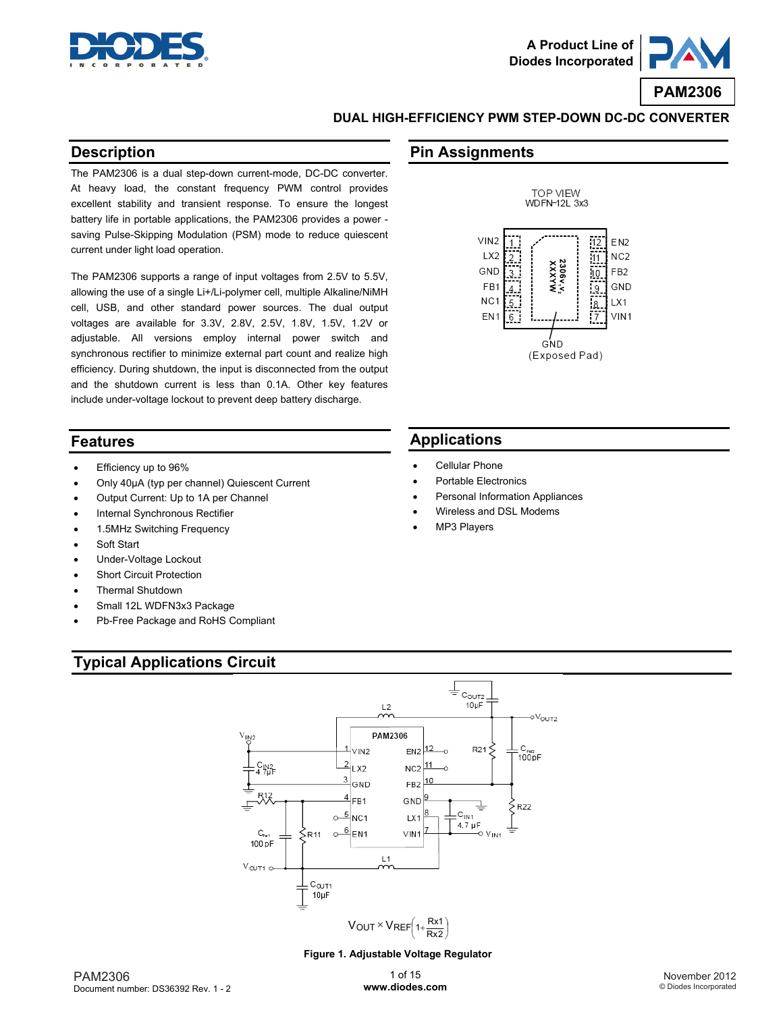



### **DUAL HIGH-EFFICIENCY PWM STEP-DOWN DC-DC CONVERTER**

### **Description**

The PAM2306 is a dual step-down current-mode, DC-DC converter. At heavy load, the constant frequency PWM control provides excellent stability and transient response. To ensure the longest battery life in portable applications, the PAM2306 provides a power saving Pulse-Skipping Modulation (PSM) mode to reduce quiescent current under light load operation.

The PAM2306 supports a range of input voltages from 2.5V to 5.5V, allowing the use of a single Li+/Li-polymer cell, multiple Alkaline/NiMH cell, USB, and other standard power sources. The dual output voltages are available for 3.3V, 2.8V, 2.5V, 1.8V, 1.5V, 1.2V or adjustable. All versions employ internal power switch and synchronous rectifier to minimize external part count and realize high efficiency. During shutdown, the input is disconnected from the output and the shutdown current is less than 0.1A. Other key features include under-voltage lockout to prevent deep battery discharge.

### **Features**

- Efficiency up to 96%
- Only 40μA (typ per channel) Quiescent Current
- Output Current: Up to 1A per Channel
- Internal Synchronous Rectifier
- 1.5MHz Switching Frequency
- Soft Start
- Under-Voltage Lockout
- Short Circuit Protection
- Thermal Shutdown
- Small 12L WDFN3x3 Package
- Pb-Free Package and RoHS Compliant

## **Typical Applications Circuit**





## **Applications**

- Cellular Phone
- Portable Electronics
- Personal Information Appliances
- Wireless and DSL Modems
- MP3 Players



#### **Figure 1. Adjustable Voltage Regulator**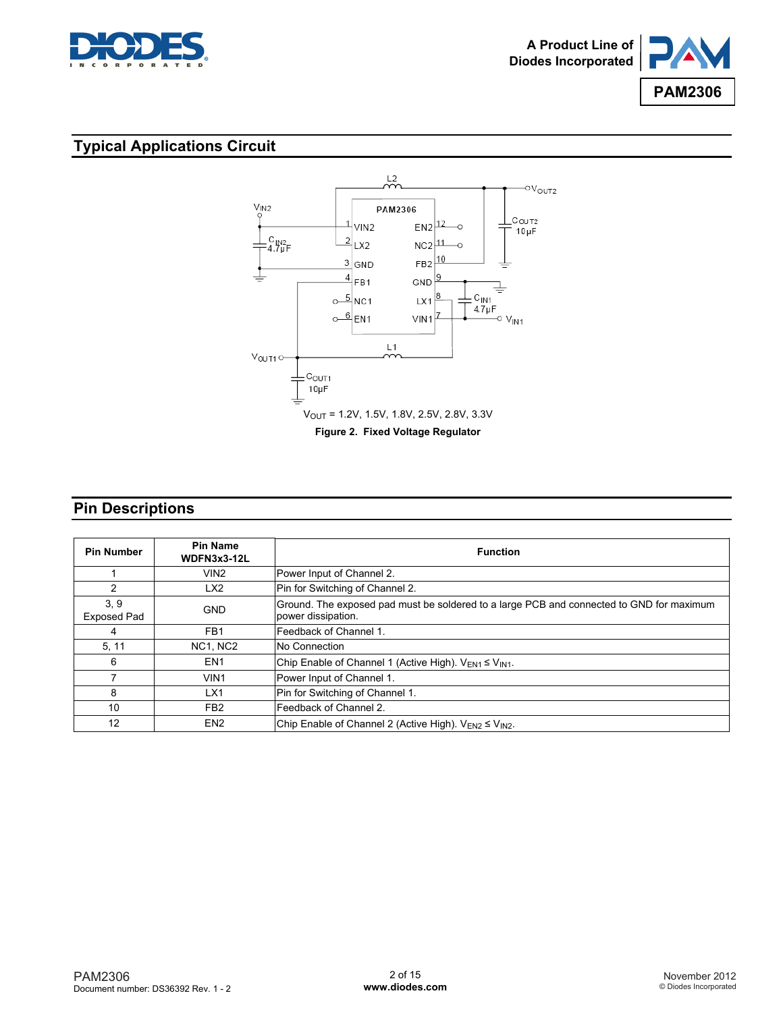



# **Typical Applications Circuit**



## **Pin Descriptions**

| <b>Pin Number</b>          | <b>Pin Name</b><br>WDFN3x3-12L | <b>Function</b>                                                                                                |
|----------------------------|--------------------------------|----------------------------------------------------------------------------------------------------------------|
|                            | VIN2                           | Power Input of Channel 2.                                                                                      |
| 2                          | LX <sub>2</sub>                | Pin for Switching of Channel 2.                                                                                |
| 3, 9<br><b>Exposed Pad</b> | <b>GND</b>                     | Ground. The exposed pad must be soldered to a large PCB and connected to GND for maximum<br>power dissipation. |
| 4                          | FB <sub>1</sub>                | Feedback of Channel 1.                                                                                         |
| 5, 11                      | NC1, NC2                       | No Connection                                                                                                  |
| 6                          | EN <sub>1</sub>                | Chip Enable of Channel 1 (Active High). $V_{EN1} \leq V_{IN1}$ .                                               |
| 7                          | VIN <sub>1</sub>               | Power Input of Channel 1.                                                                                      |
| 8                          | LX1                            | Pin for Switching of Channel 1.                                                                                |
| 10                         | FB <sub>2</sub>                | Feedback of Channel 2.                                                                                         |
| 12                         | EN <sub>2</sub>                | Chip Enable of Channel 2 (Active High). $V_{EN2} \le V_{IN2}$ .                                                |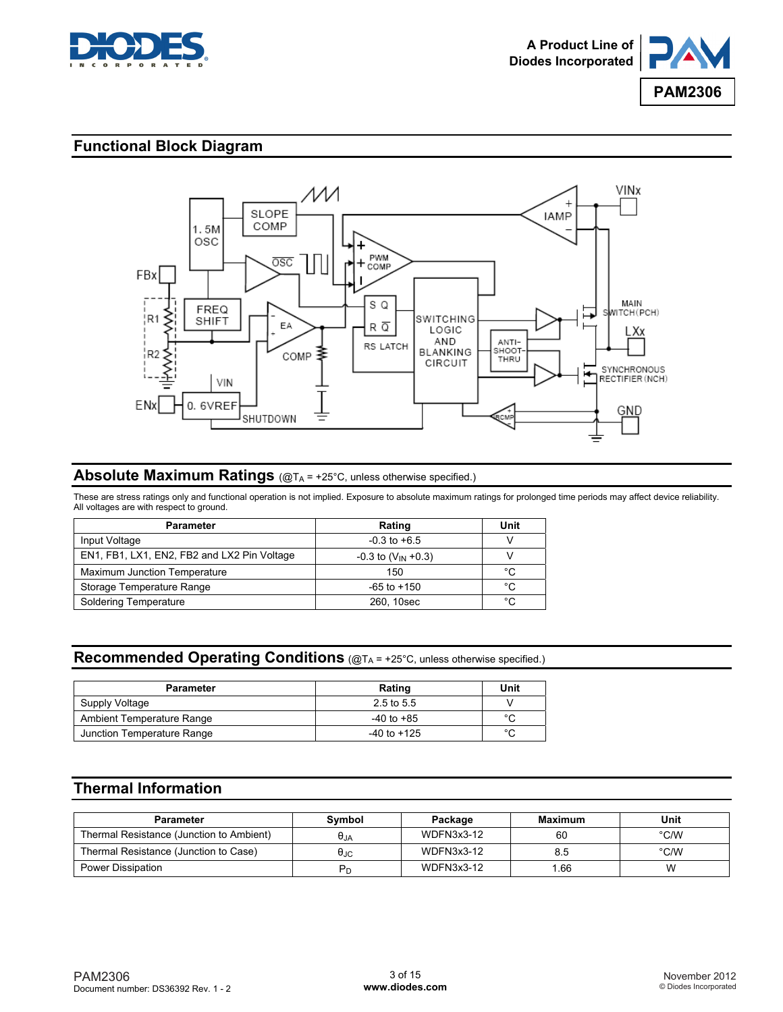



## **Functional Block Diagram**



### **Absolute Maximum Ratings** (@T<sub>A</sub> = +25°C, unless otherwise specified.)

These are stress ratings only and functional operation is not implied. Exposure to absolute maximum ratings for prolonged time periods may affect device reliability. All voltages are with respect to ground.

| <b>Parameter</b>                            | Rating                     | Unit |
|---------------------------------------------|----------------------------|------|
| Input Voltage                               | $-0.3$ to $+6.5$           |      |
| EN1, FB1, LX1, EN2, FB2 and LX2 Pin Voltage | $-0.3$ to $(V_{IN} + 0.3)$ |      |
| Maximum Junction Temperature                | 150                        | °C   |
| Storage Temperature Range                   | $-65$ to $+150$            | °C   |
| Soldering Temperature                       | 260, 10sec                 | °C   |

### **Recommended Operating Conditions** (@TA = +25°C, unless otherwise specified.)

| <b>Parameter</b>           | Rating          | Unit          |
|----------------------------|-----------------|---------------|
| Supply Voltage             | 2.5 to 5.5      |               |
| Ambient Temperature Range  | $-40$ to $+85$  | $\sim$        |
| Junction Temperature Range | $-40$ to $+125$ | $\mathcal{C}$ |

# **Thermal Information**

| <b>Parameter</b>                         | Symbol         | Package           | Maximum | Unit |
|------------------------------------------|----------------|-------------------|---------|------|
| Thermal Resistance (Junction to Ambient) | $\theta$ JA    | <b>WDFN3x3-12</b> | 60      | °C/W |
| Thermal Resistance (Junction to Case)    | $\theta$ JC    | <b>WDFN3x3-12</b> | 8.5     | °C/W |
| Power Dissipation                        | P <sub>r</sub> | WDFN3x3-12        | .66     | W    |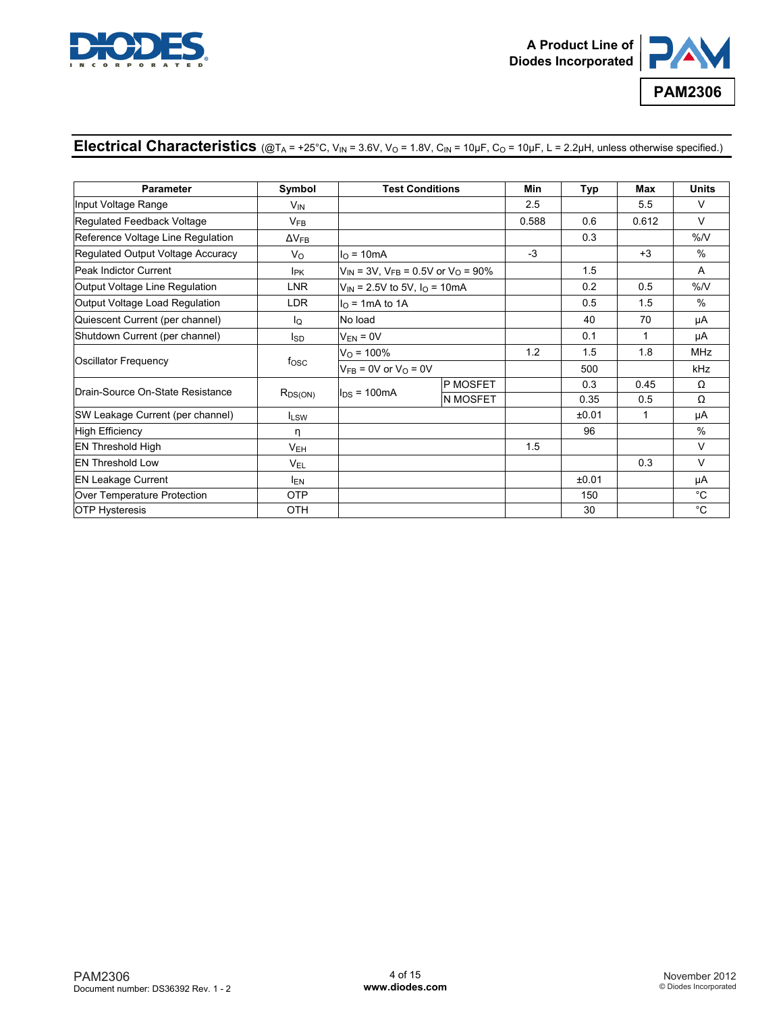



## Electrical Characteristics  $(QT_A = +25^\circ C, V_{IN} = 3.6V, V_O = 1.8V, C_{IN} = 10 \mu F, C_O = 10 \mu F, L = 2.2 \mu H$ , unless otherwise specified.)

| <b>Parameter</b>                  | Symbol                 | <b>Test Conditions</b>                                             |                 | Min   | Typ   | Max   | <b>Units</b>  |
|-----------------------------------|------------------------|--------------------------------------------------------------------|-----------------|-------|-------|-------|---------------|
| Input Voltage Range               | $V_{IN}$               |                                                                    |                 | 2.5   |       | 5.5   | V             |
| Regulated Feedback Voltage        | $V_{FB}$               |                                                                    |                 | 0.588 | 0.6   | 0.612 | $\vee$        |
| Reference Voltage Line Regulation | $\Delta V_{FB}$        |                                                                    |                 |       | 0.3   |       | %N            |
| Regulated Output Voltage Accuracy | Vo                     | $I0 = 10mA$                                                        |                 | $-3$  |       | $+3$  | $\%$          |
| Peak Indictor Current             | <b>I</b> <sub>PK</sub> | $V_{\text{IN}}$ = 3V, $V_{\text{FR}}$ = 0.5V or $V_{\Omega}$ = 90% |                 |       | 1.5   |       | A             |
| Output Voltage Line Regulation    | <b>LNR</b>             | $V_{\text{IN}}$ = 2.5V to 5V, $I_{\text{O}}$ = 10mA                |                 |       | 0.2   | 0.5   | %N            |
| Output Voltage Load Regulation    | <b>LDR</b>             | $IO$ = 1mA to 1A                                                   |                 |       | 0.5   | 1.5   | $\%$          |
| Quiescent Current (per channel)   | lo.                    | No load                                                            |                 |       | 40    | 70    | μA            |
| Shutdown Current (per channel)    | lsp                    | $V_{EN} = 0V$                                                      |                 |       | 0.1   | 1     | μA            |
|                                   | fosc                   | $V_{\Omega}$ = 100%                                                |                 | 1.2   | 1.5   | 1.8   | MHz           |
| Oscillator Frequency              |                        | $V_{FB} = 0V$ or $V_{O} = 0V$                                      |                 |       | 500   |       | <b>kHz</b>    |
| Drain-Source On-State Resistance  |                        |                                                                    | <b>P MOSFET</b> |       | 0.3   | 0.45  | Ω             |
|                                   | $R_{DS(ON)}$           | $I_{DS}$ = 100mA                                                   | <b>N MOSFET</b> |       | 0.35  | 0.5   | Ω             |
| SW Leakage Current (per channel)  | $I_{LSW}$              |                                                                    |                 |       | ±0.01 | 1     | μA            |
| High Efficiency                   | η                      |                                                                    |                 |       | 96    |       | $\frac{0}{0}$ |
| <b>EN Threshold High</b>          | $V_{EH}$               |                                                                    |                 | 1.5   |       |       | $\vee$        |
| <b>EN Threshold Low</b>           | $V_{EL}$               |                                                                    |                 |       |       | 0.3   | V             |
| <b>EN Leakage Current</b>         | <b>IEN</b>             |                                                                    |                 |       | ±0.01 |       | μA            |
| Over Temperature Protection       | <b>OTP</b>             |                                                                    |                 |       | 150   |       | $^{\circ}$ C  |
| <b>OTP Hysteresis</b>             | OTH                    |                                                                    |                 |       | 30    |       | $^{\circ}$ C  |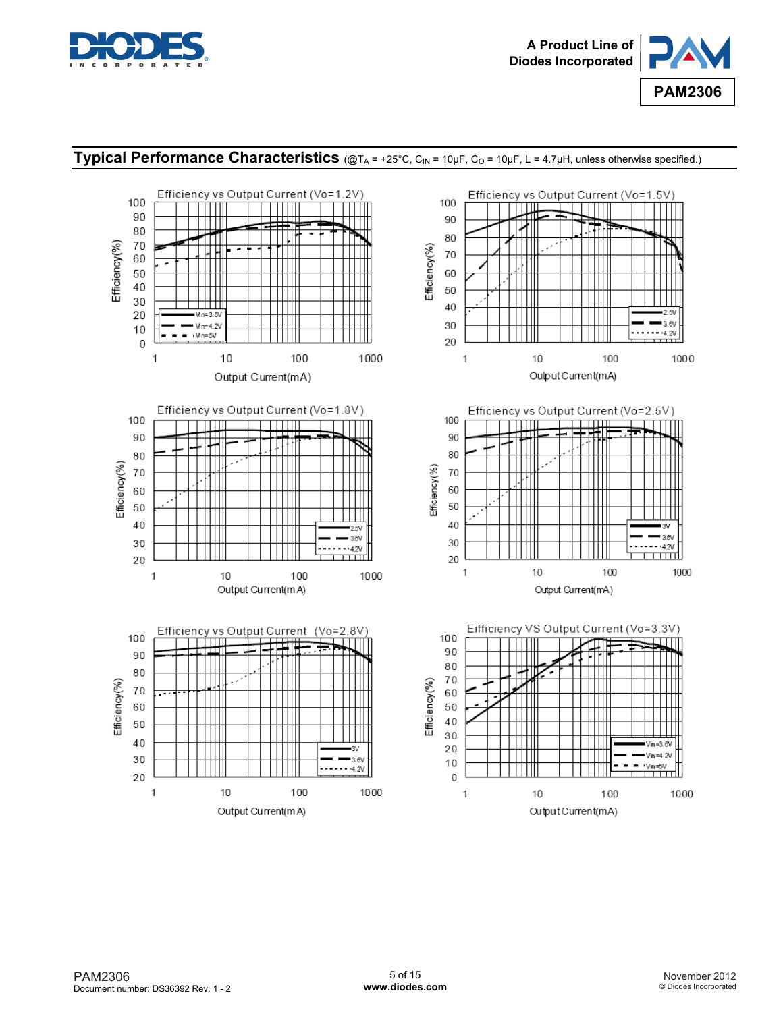



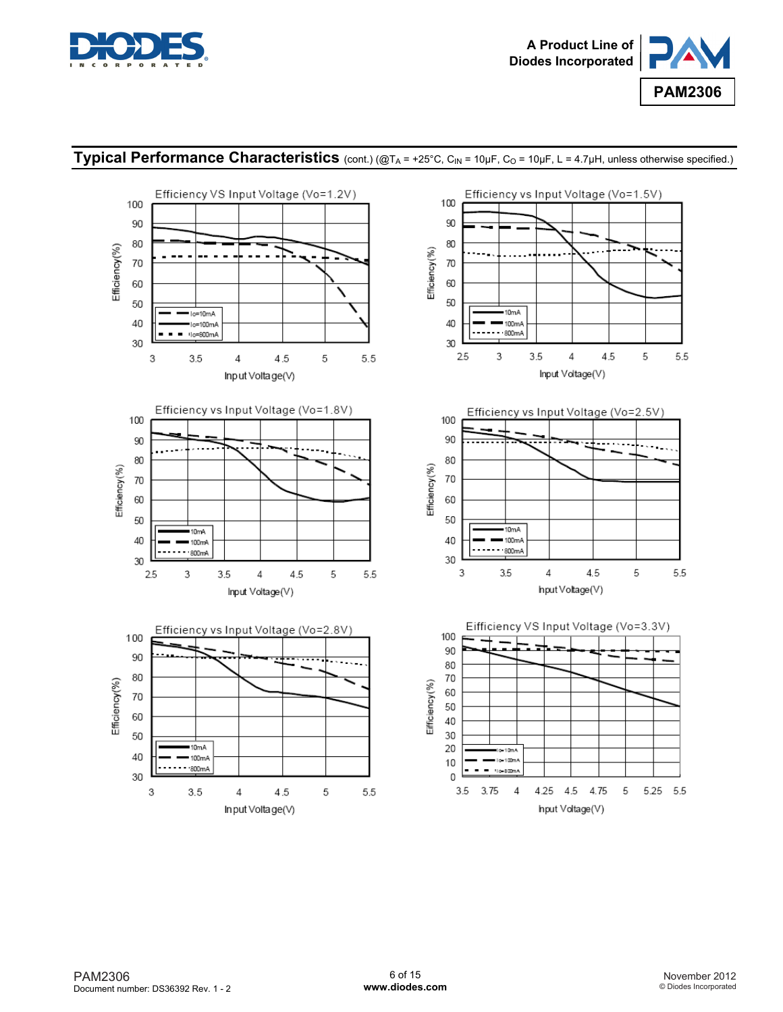



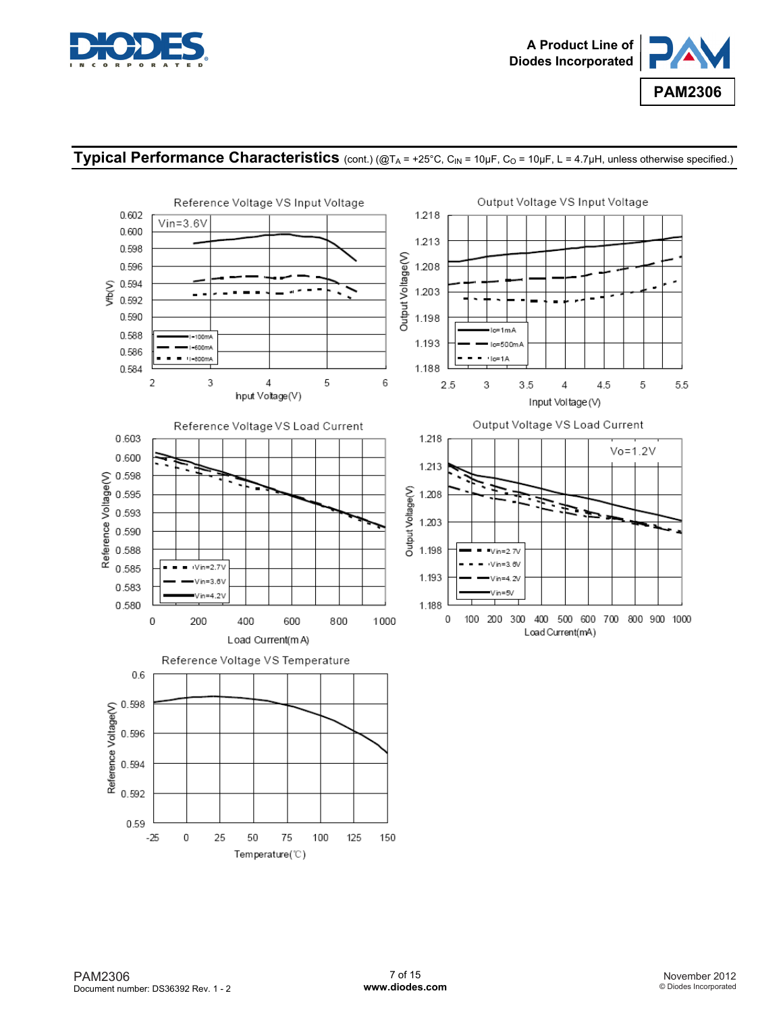



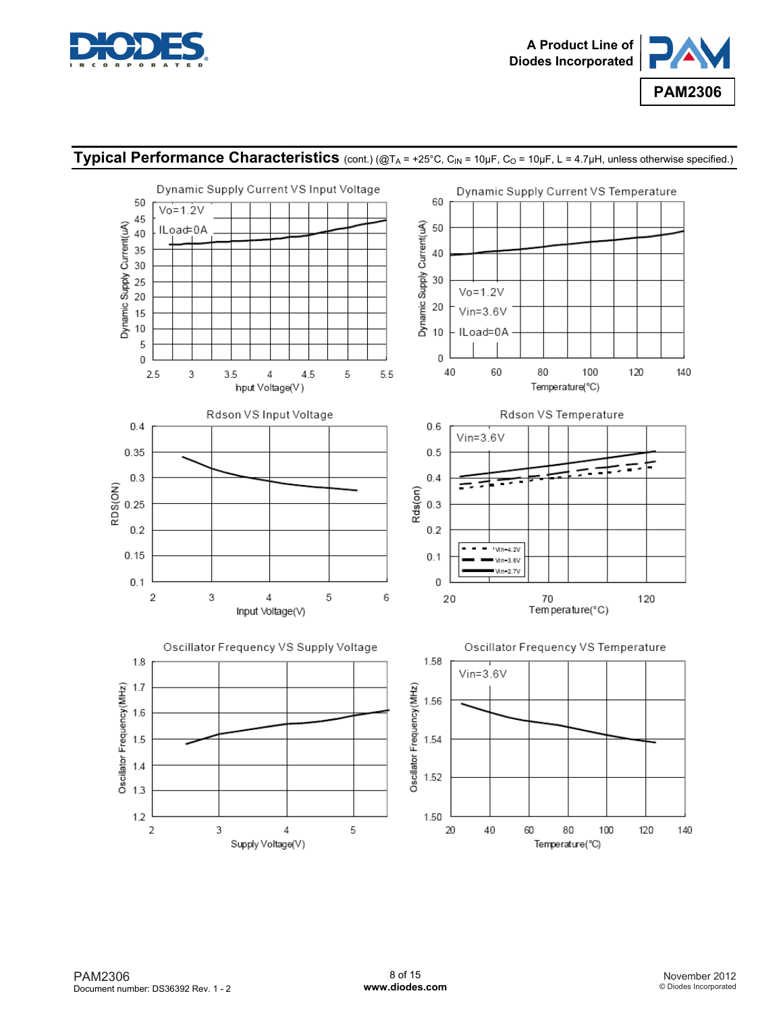



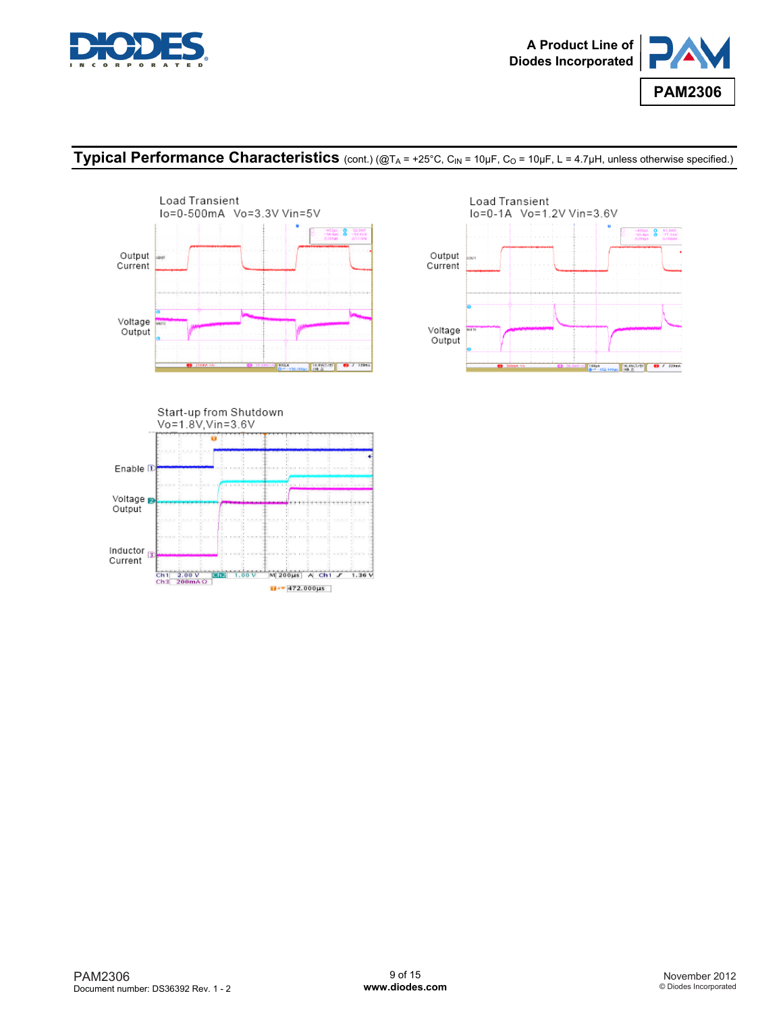







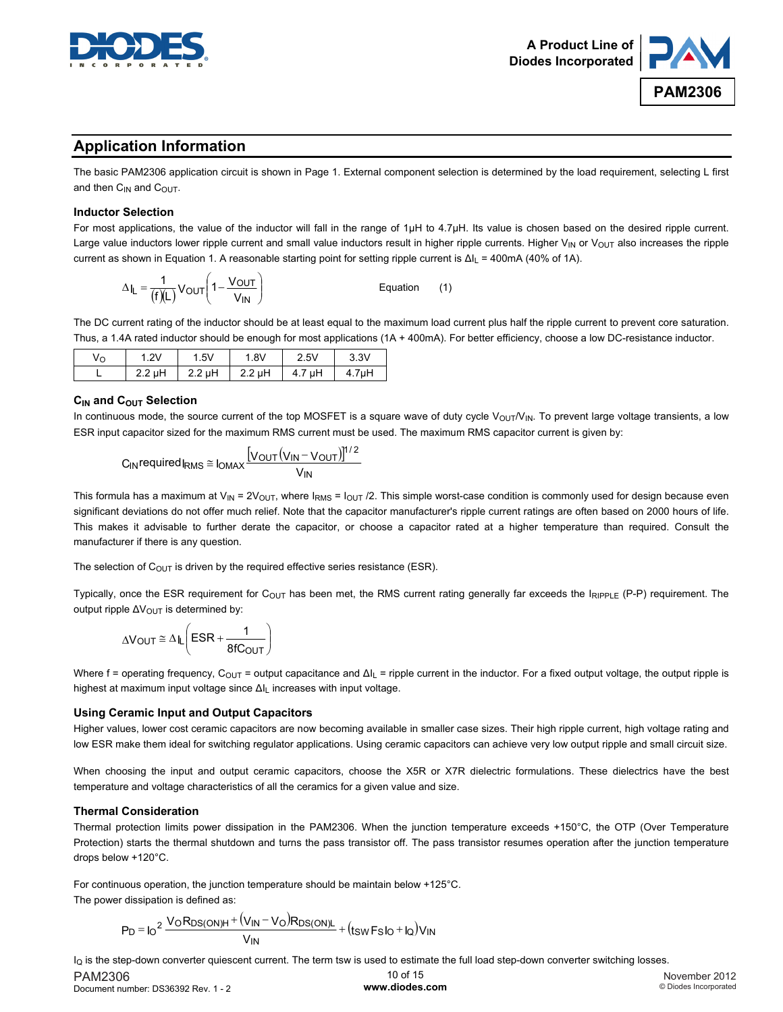



### **Application Information**

The basic PAM2306 application circuit is shown in Page 1. External component selection is determined by the load requirement, selecting L first and then  $C_{IN}$  and  $C_{OUT}$ .

#### **Inductor Selection**

For most applications, the value of the inductor will fall in the range of 1μH to 4.7μH. Its value is chosen based on the desired ripple current. Large value inductors lower ripple current and small value inductors result in higher ripple currents. Higher  $V_{IN}$  or  $V_{OUT}$  also increases the ripple current as shown in Equation 1. A reasonable starting point for setting ripple current is ∆I<sub>L</sub> = 400mA (40% of 1A).

$$
\Delta I_L = \frac{1}{(f)(L)} V_{OUT} \left( 1 - \frac{V_{OUT}}{V_{IN}} \right)
$$
 *Equation* (1)

The DC current rating of the inductor should be at least equal to the maximum load current plus half the ripple current to prevent core saturation. Thus, a 1.4A rated inductor should be enough for most applications (1A + 400mA). For better efficiency, choose a low DC-resistance inductor.

| Vo | 211<br>. Z. V | 1.5V   | .8V   | $2.5\forall$ | 3.3V       |
|----|---------------|--------|-------|--------------|------------|
|    | $2.2$ uH<br>  | 2.2 µH | ∴2 uH | μH<br>4.1    | 7µH<br>4.7 |

#### **C<sub>IN</sub>** and C<sub>OUT</sub> Selection

In continuous mode, the source current of the top MOSFET is a square wave of duty cycle  $V_{\text{OUT}}/V_{\text{IN}}$ . To prevent large voltage transients, a low ESR input capacitor sized for the maximum RMS current must be used. The maximum RMS capacitor current is given by:

$$
C_{IN} \text{required} I_{RMS} \cong I_{OMAX} \frac{[V_{OUT}(V_{IN}-V_{OUT})]^{1/2}}{V_{IN}}
$$

This formula has a maximum at  $V_{\text{IN}} = 2V_{\text{OUT}}$ , where  $I_{\text{RMS}} = I_{\text{OUT}}/2$ . This simple worst-case condition is commonly used for design because even significant deviations do not offer much relief. Note that the capacitor manufacturer's ripple current ratings are often based on 2000 hours of life. This makes it advisable to further derate the capacitor, or choose a capacitor rated at a higher temperature than required. Consult the manufacturer if there is any question.

The selection of  $C_{\text{OUT}}$  is driven by the required effective series resistance (ESR).

Typically, once the ESR requirement for C<sub>OUT</sub> has been met, the RMS current rating generally far exceeds the  $I_{RIPPLE}$  (P-P) requirement. The output ripple ΔV<sub>OUT</sub> is determined by:

$$
\Delta V_{OUT} \cong \Delta I_L \left( ESR + \frac{1}{8fC_{OUT}} \right)
$$

Where f = operating frequency, C<sub>OUT</sub> = output capacitance and  $\Delta I_L$  = ripple current in the inductor. For a fixed output voltage, the output ripple is highest at maximum input voltage since ∆I<sub>L</sub> increases with input voltage.

#### **Using Ceramic Input and Output Capacitors**

Higher values, lower cost ceramic capacitors are now becoming available in smaller case sizes. Their high ripple current, high voltage rating and low ESR make them ideal for switching regulator applications. Using ceramic capacitors can achieve very low output ripple and small circuit size.

When choosing the input and output ceramic capacitors, choose the X5R or X7R dielectric formulations. These dielectrics have the best temperature and voltage characteristics of all the ceramics for a given value and size.

#### **Thermal Consideration**

Thermal protection limits power dissipation in the PAM2306. When the junction temperature exceeds +150°C, the OTP (Over Temperature Protection) starts the thermal shutdown and turns the pass transistor off. The pass transistor resumes operation after the junction temperature drops below +120°C.

For continuous operation, the junction temperature should be maintain below +125°C. The power dissipation is defined as:

$$
P_D = I_0^2 \frac{V \text{o} R_{DS(ON)H} + (V_{IN} - V_0) R_{DS(ON)L}}{V_{IN}} + (t_{SW} F_S I_0 + I_0) V_{IN}
$$

I<sub>Q</sub> is the step-down converter quiescent current. The term tsw is used to estimate the full load step-down converter switching losses.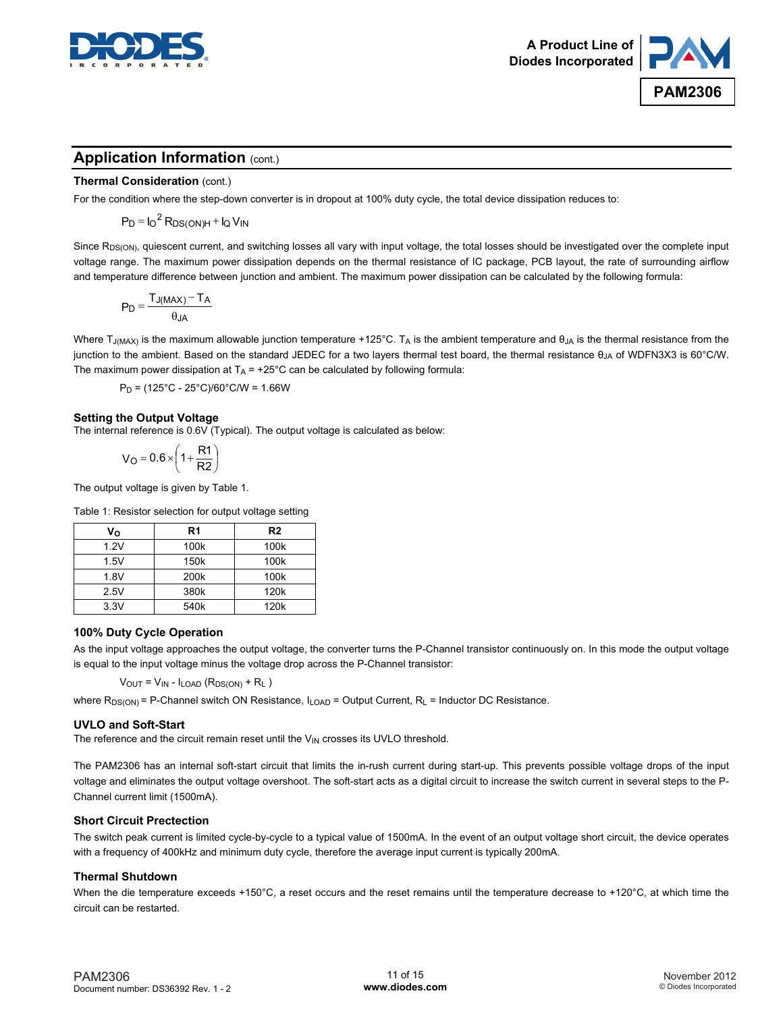



### **Application Information (cont.)**

#### **Thermal Consideration** (cont.)

For the condition where the step-down converter is in dropout at 100% duty cycle, the total device dissipation reduces to:

 $P_D = I_O^2 R_{DS(ON)H} + I_Q V_{IN}$ 

Since R<sub>DS(ON)</sub>, quiescent current, and switching losses all vary with input voltage, the total losses should be investigated over the complete input voltage range. The maximum power dissipation depends on the thermal resistance of IC package, PCB layout, the rate of surrounding airflow and temperature difference between junction and ambient. The maximum power dissipation can be calculated by the following formula:

$$
P_D = \frac{T_{J(MAX)} - T_A}{\theta_{JA}}
$$

Where T<sub>J(MAX)</sub> is the maximum allowable junction temperature +125°C. T<sub>A</sub> is the ambient temperature and  $\theta_{JA}$  is the thermal resistance from the junction to the ambient. Based on the standard JEDEC for a two layers thermal test board, the thermal resistance  $\theta_{JA}$  of WDFN3X3 is 60°C/W. The maximum power dissipation at  $T_A$  = +25°C can be calculated by following formula:

 $P_D = (125^{\circ}C - 25^{\circ}C)/60^{\circ}C/W = 1.66W$ 

#### **Setting the Output Voltage**

The internal reference is 0.6V (Typical). The output voltage is calculated as below:

 $\mathbf{I}$ J  $\left(1+\frac{R1}{R}\right)$ l  $= 0.6 \times \left(1 + \frac{R1}{R2}\right)$  $V_{\rm O} = 0.6 \times \left(1 + \frac{R1}{R_0^2}\right)$ 

The output voltage is given by Table 1.

Table 1: Resistor selection for output voltage setting

| V٥   | R1               | R <sub>2</sub>   |
|------|------------------|------------------|
| 1.2V | 100k             | 100k             |
| 1.5V | 150 <sub>k</sub> | 100k             |
| 1.8V | 200k             | 100 <sub>k</sub> |
| 2.5V | 380k             | 120 <sub>k</sub> |
| 3.3V | 540k             | 120 <sub>k</sub> |

#### **100% Duty Cycle Operation**

As the input voltage approaches the output voltage, the converter turns the P-Channel transistor continuously on. In this mode the output voltage is equal to the input voltage minus the voltage drop across the P-Channel transistor:

 $V<sub>OUT</sub> = V<sub>IN</sub> - I<sub>LOAD</sub> (R<sub>DS(ON)</sub> + R<sub>L</sub>)$ 

where  $R_{DS(ON)}$  = P-Channel switch ON Resistance,  $I_{LOAD}$  = Output Current,  $R_L$  = Inductor DC Resistance.

#### **UVLO and Soft-Start**

The reference and the circuit remain reset until the  $V_{IN}$  crosses its UVLO threshold.

The PAM2306 has an internal soft-start circuit that limits the in-rush current during start-up. This prevents possible voltage drops of the input voltage and eliminates the output voltage overshoot. The soft-start acts as a digital circuit to increase the switch current in several steps to the P-Channel current limit (1500mA).

#### **Short Circuit Prectection**

The switch peak current is limited cycle-by-cycle to a typical value of 1500mA. In the event of an output voltage short circuit, the device operates with a frequency of 400kHz and minimum duty cycle, therefore the average input current is typically 200mA.

#### **Thermal Shutdown**

When the die temperature exceeds +150°C, a reset occurs and the reset remains until the temperature decrease to +120°C, at which time the circuit can be restarted.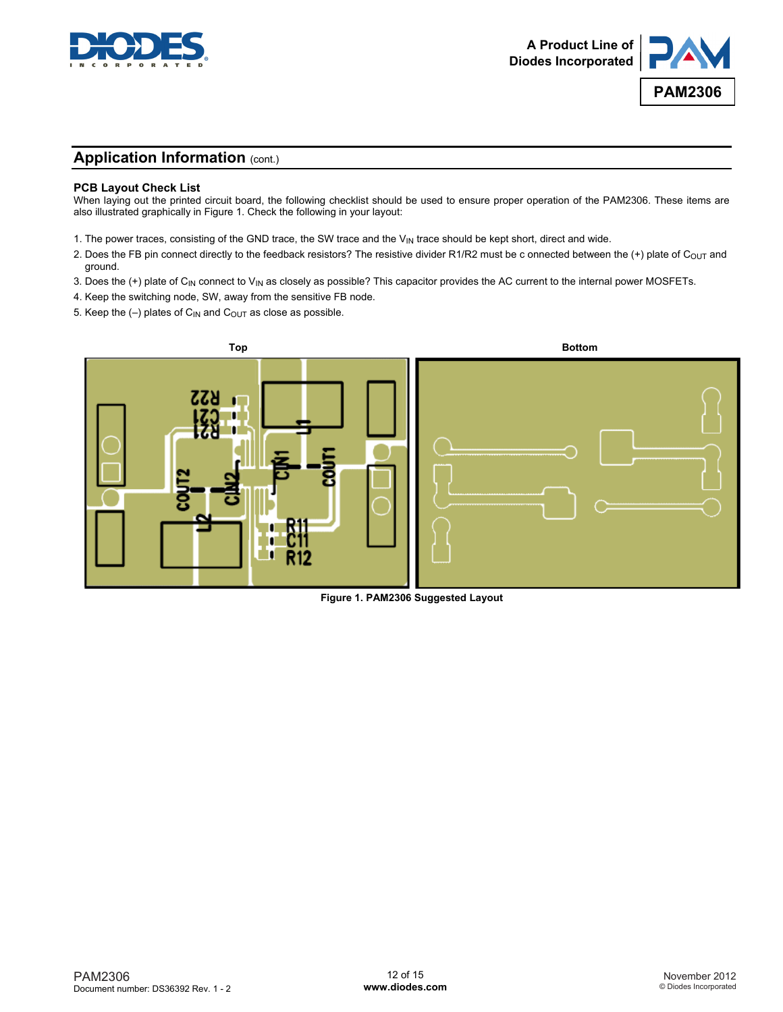



### **Application Information (cont.)**

#### **PCB Layout Check List**

When laying out the printed circuit board, the following checklist should be used to ensure proper operation of the PAM2306. These items are also illustrated graphically in Figure 1. Check the following in your layout:

- 1. The power traces, consisting of the GND trace, the SW trace and the  $V_{IN}$  trace should be kept short, direct and wide.
- 2. Does the FB pin connect directly to the feedback resistors? The resistive divider R1/R2 must be c onnected between the (+) plate of C<sub>OUT</sub> and ground.
- 3. Does the (+) plate of  $C_{\text{IN}}$  connect to  $V_{\text{IN}}$  as closely as possible? This capacitor provides the AC current to the internal power MOSFETs.
- 4. Keep the switching node, SW, away from the sensitive FB node.
- 5. Keep the  $(-)$  plates of C<sub>IN</sub> and C<sub>OUT</sub> as close as possible.



**Figure 1. PAM2306 Suggested Layout**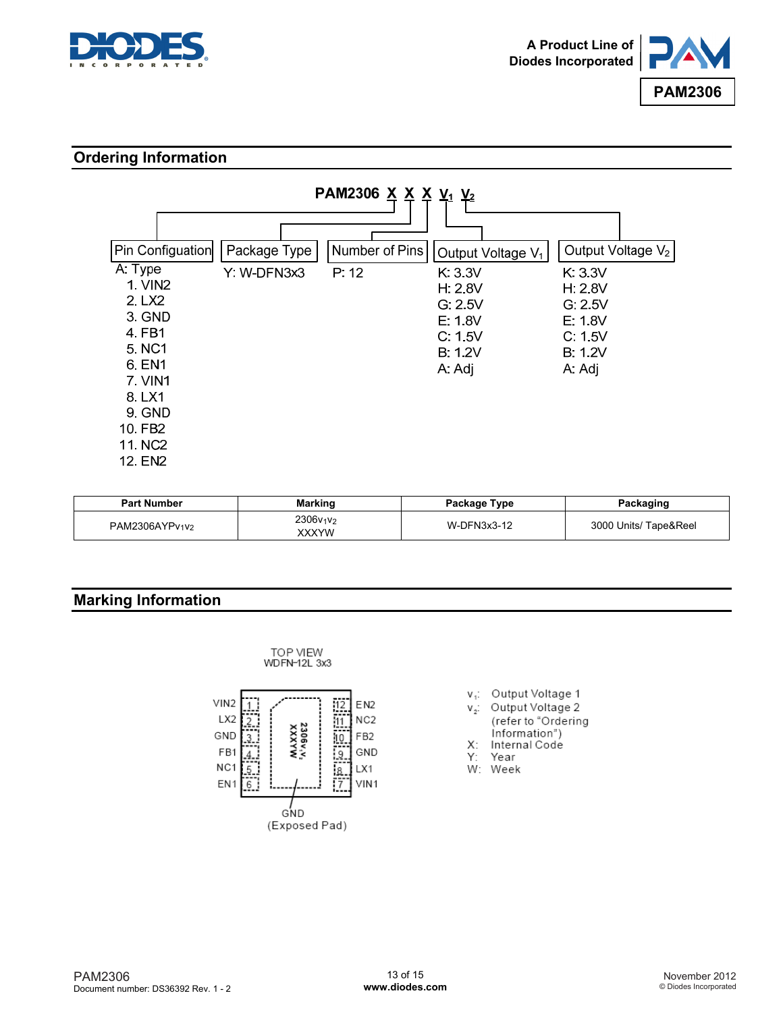



### **Ordering Information**



| <b>Part Number</b> | <b>Marking</b>                             | Package Type | Packaging             |
|--------------------|--------------------------------------------|--------------|-----------------------|
| PAM2306AYPv1V2     | 2306v <sub>1</sub> v <sub>2</sub><br>XXXYW | W-DFN3x3-12  | 3000 Units/ Tape&Reel |

## **Marking Information**



- v<sub>1</sub>: Output Voltage 1
- Output Voltage 2  $V_{2}$ : (refer to "Ordering information")
- X: Internal Code
- Y۰ Year
- W: Week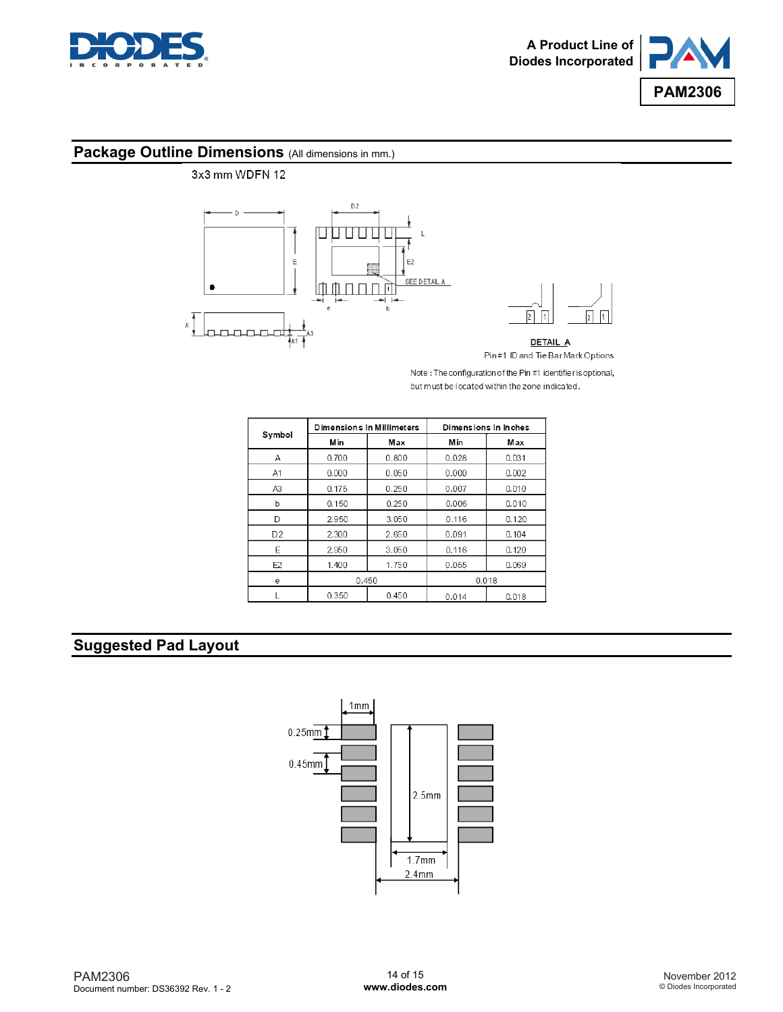



# **Package Outline Dimensions** (All dimensions in mm.)



Note: The configuration of the Pin #1 identifier is optional, but must be located within the zone indicated.

|                | <b>Dimensions In Millimeters</b> |       | Dimensions In Inches |       |  |
|----------------|----------------------------------|-------|----------------------|-------|--|
| Symbol         | M in                             | Max   | M in                 | Max   |  |
| Α              | 0.700                            | 0.800 | 0.028                | 0.031 |  |
| A1             | 0.000                            | 0.050 | 0.000                | 0.002 |  |
| A3             | 0.175                            | 0.250 | 0.007                | 0.010 |  |
| b              | 0.150                            | 0.250 | 0.006                | 0.010 |  |
| D              | 2.950                            | 3.050 | 0.116                | 0.120 |  |
| D <sub>2</sub> | 2.300                            | 2.650 | 0.091                | 0.104 |  |
| E              | 2.950                            | 3.050 | 0.116                | 0.120 |  |
| E2             | 1.400                            | 1.750 | 0.055                | 0.069 |  |
| е              | 0.450                            |       | 0.018                |       |  |
|                | 0.350                            | 0.450 | 0.014                | 0.018 |  |

## **Suggested Pad Layout**